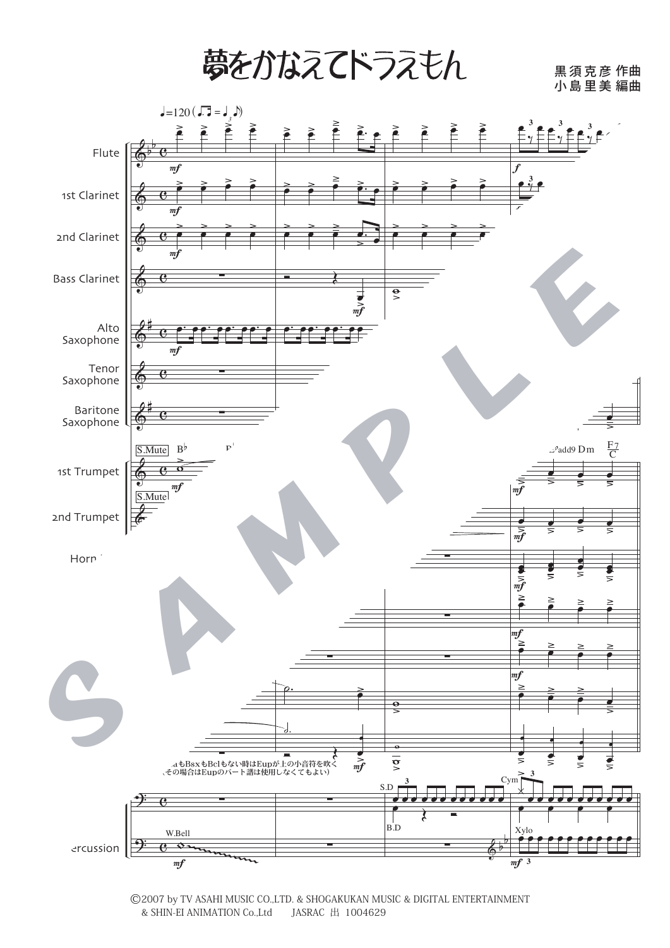夢をかなえてドラえもん

黒須克彦 小 島 里 美 作曲 編曲



©2007 by TV ASAHI MUSIC CO.,LTD. & SHOGAKUKAN MUSIC & DIGITAL ENTERTAINMENT & SHIN-EI ANIMATION Co.,Ltd JASRAC  $\pm$  1004629 & SHIN-EI ANIMATION Co., Ltd